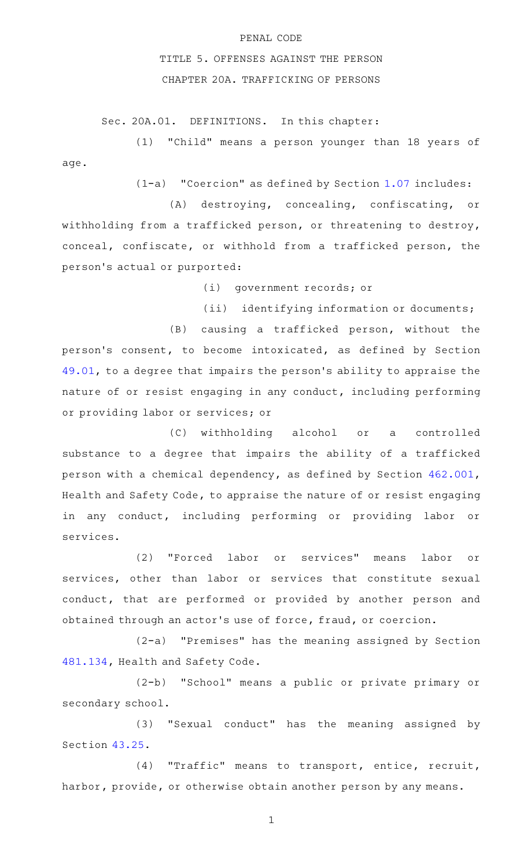## PENAL CODE

## TITLE 5. OFFENSES AGAINST THE PERSON CHAPTER 20A. TRAFFICKING OF PERSONS

Sec. 20A.01. DEFINITIONS. In this chapter:

(1) "Child" means a person younger than 18 years of age.

 $(1-a)$  "Coercion" as defined by Section [1.07](http://www.statutes.legis.state.tx.us/GetStatute.aspx?Code=PE&Value=1.07) includes:

(A) destroying, concealing, confiscating, or withholding from a trafficked person, or threatening to destroy, conceal, confiscate, or withhold from a trafficked person, the person 's actual or purported:

(i) government records; or

(ii) identifying information or documents;

(B) causing a trafficked person, without the person 's consent, to become intoxicated, as defined by Section [49.01,](http://www.statutes.legis.state.tx.us/GetStatute.aspx?Code=PE&Value=49.01) to a degree that impairs the person 's ability to appraise the nature of or resist engaging in any conduct, including performing or providing labor or services; or

(C) withholding alcohol or a controlled substance to a degree that impairs the ability of a trafficked person with a chemical dependency, as defined by Section [462.001](http://www.statutes.legis.state.tx.us/GetStatute.aspx?Code=HS&Value=462.001), Health and Safety Code, to appraise the nature of or resist engaging in any conduct, including performing or providing labor or services.

(2) "Forced labor or services" means labor or services, other than labor or services that constitute sexual conduct, that are performed or provided by another person and obtained through an actor 's use of force, fraud, or coercion.

(2-a) "Premises" has the meaning assigned by Section [481.134,](http://www.statutes.legis.state.tx.us/GetStatute.aspx?Code=HS&Value=481.134) Health and Safety Code.

(2-b) "School" means a public or private primary or secondary school.

(3) "Sexual conduct" has the meaning assigned by Section [43.25.](http://www.statutes.legis.state.tx.us/GetStatute.aspx?Code=PE&Value=43.25)

(4) "Traffic" means to transport, entice, recruit, harbor, provide, or otherwise obtain another person by any means.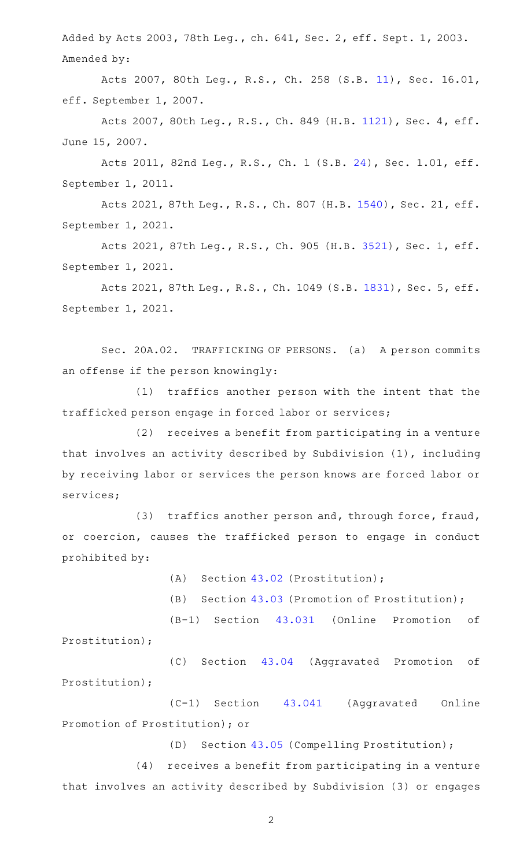Added by Acts 2003, 78th Leg., ch. 641, Sec. 2, eff. Sept. 1, 2003. Amended by:

Acts 2007, 80th Leg., R.S., Ch. 258 (S.B. [11\)](http://www.legis.state.tx.us/tlodocs/80R/billtext/html/SB00011F.HTM), Sec. 16.01, eff. September 1, 2007.

Acts 2007, 80th Leg., R.S., Ch. 849 (H.B. [1121](http://www.legis.state.tx.us/tlodocs/80R/billtext/html/HB01121F.HTM)), Sec. 4, eff. June 15, 2007.

Acts 2011, 82nd Leg., R.S., Ch. 1 (S.B. [24\)](http://www.legis.state.tx.us/tlodocs/82R/billtext/html/SB00024F.HTM), Sec. 1.01, eff. September 1, 2011.

Acts 2021, 87th Leg., R.S., Ch. 807 (H.B. [1540\)](http://www.legis.state.tx.us/tlodocs/87R/billtext/html/HB01540F.HTM), Sec. 21, eff. September 1, 2021.

Acts 2021, 87th Leg., R.S., Ch. 905 (H.B. [3521](http://www.legis.state.tx.us/tlodocs/87R/billtext/html/HB03521F.HTM)), Sec. 1, eff. September 1, 2021.

Acts 2021, 87th Leg., R.S., Ch. 1049 (S.B. [1831](http://www.legis.state.tx.us/tlodocs/87R/billtext/html/SB01831F.HTM)), Sec. 5, eff. September 1, 2021.

Sec. 20A.02. TRAFFICKING OF PERSONS. (a) A person commits an offense if the person knowingly:

(1) traffics another person with the intent that the trafficked person engage in forced labor or services;

(2) receives a benefit from participating in a venture that involves an activity described by Subdivision (1), including by receiving labor or services the person knows are forced labor or services;

(3) traffics another person and, through force, fraud, or coercion, causes the trafficked person to engage in conduct prohibited by:

(A) Section  $43.02$  (Prostitution);

(B) Section [43.03](http://www.statutes.legis.state.tx.us/GetStatute.aspx?Code=PE&Value=43.03) (Promotion of Prostitution);

(B-1) Section [43.031](http://www.statutes.legis.state.tx.us/GetStatute.aspx?Code=PE&Value=43.031) (Online Promotion of Prostitution);

(C) Section [43.04](http://www.statutes.legis.state.tx.us/GetStatute.aspx?Code=PE&Value=43.04) (Aggravated Promotion of Prostitution);

(C-1) Section [43.041](http://www.statutes.legis.state.tx.us/GetStatute.aspx?Code=PE&Value=43.041) (Aggravated Online Promotion of Prostitution); or

(D) Section [43.05](http://www.statutes.legis.state.tx.us/GetStatute.aspx?Code=PE&Value=43.05) (Compelling Prostitution);

(4) receives a benefit from participating in a venture that involves an activity described by Subdivision (3) or engages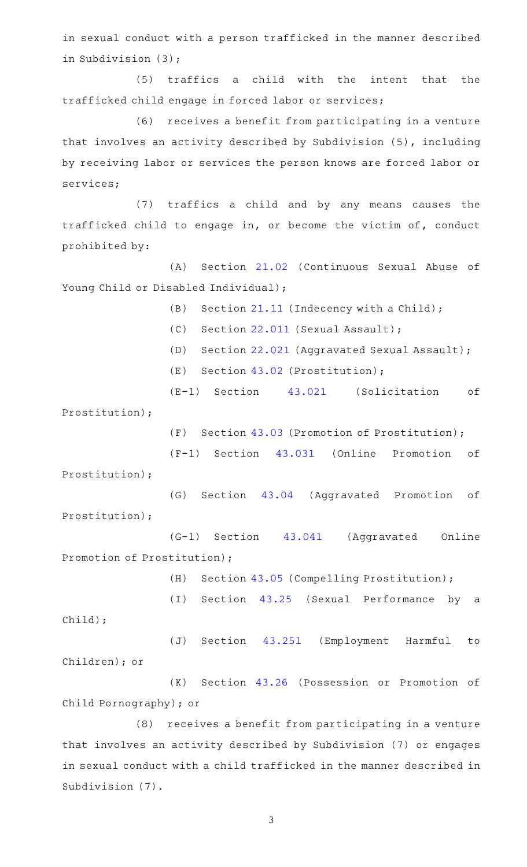in sexual conduct with a person trafficked in the manner described in Subdivision (3);

(5) traffics a child with the intent that the trafficked child engage in forced labor or services;

(6) receives a benefit from participating in a venture that involves an activity described by Subdivision (5), including by receiving labor or services the person knows are forced labor or services;

(7) traffics a child and by any means causes the trafficked child to engage in, or become the victim of, conduct prohibited by:

(A) Section [21.02](http://www.statutes.legis.state.tx.us/GetStatute.aspx?Code=PE&Value=21.02) (Continuous Sexual Abuse of Young Child or Disabled Individual);

(B) Section [21.11](http://www.statutes.legis.state.tx.us/GetStatute.aspx?Code=PE&Value=21.11) (Indecency with a Child);

(C) Section [22.011](http://www.statutes.legis.state.tx.us/GetStatute.aspx?Code=PE&Value=22.011) (Sexual Assault);

- (D) Section [22.021](http://www.statutes.legis.state.tx.us/GetStatute.aspx?Code=PE&Value=22.021) (Aggravated Sexual Assault);
- (E) Section  $43.02$  (Prostitution);
- (E-1) Section [43.021](http://www.statutes.legis.state.tx.us/GetStatute.aspx?Code=PE&Value=43.021) (Solicitation of

Prostitution);

(F) Section  $43.03$  (Promotion of Prostitution);

(F-1) Section [43.031](http://www.statutes.legis.state.tx.us/GetStatute.aspx?Code=PE&Value=43.031) (Online Promotion of Prostitution);

(G) Section [43.04](http://www.statutes.legis.state.tx.us/GetStatute.aspx?Code=PE&Value=43.04) (Aggravated Promotion of Prostitution);

(G-1) Section [43.041](http://www.statutes.legis.state.tx.us/GetStatute.aspx?Code=PE&Value=43.041) (Aggravated Online Promotion of Prostitution);

(H) Section [43.05](http://www.statutes.legis.state.tx.us/GetStatute.aspx?Code=PE&Value=43.05) (Compelling Prostitution);

(I) Section [43.25](http://www.statutes.legis.state.tx.us/GetStatute.aspx?Code=PE&Value=43.25) (Sexual Performance by a Child);

(J) Section [43.251](http://www.statutes.legis.state.tx.us/GetStatute.aspx?Code=PE&Value=43.251) (Employment Harmful to Children); or

(K) Section [43.26](http://www.statutes.legis.state.tx.us/GetStatute.aspx?Code=PE&Value=43.26) (Possession or Promotion of Child Pornography); or

(8) receives a benefit from participating in a venture that involves an activity described by Subdivision (7) or engages in sexual conduct with a child trafficked in the manner described in Subdivision (7).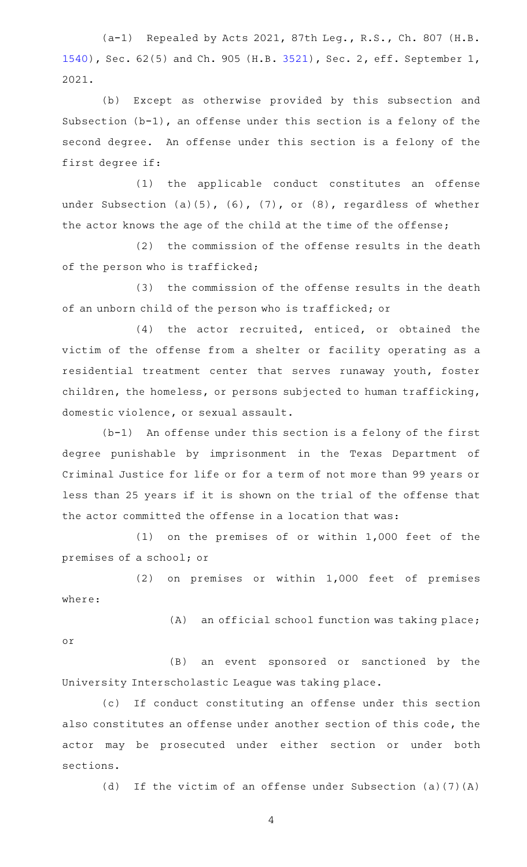(a-1) Repealed by Acts 2021, 87th Leg., R.S., Ch. 807 (H.B. [1540](http://www.legis.state.tx.us/tlodocs/87R/billtext/html/HB01540F.HTM)), Sec. 62(5) and Ch. 905 (H.B. [3521\)](http://www.legis.state.tx.us/tlodocs/87R/billtext/html/HB03521F.HTM), Sec. 2, eff. September 1, 2021.

(b) Except as otherwise provided by this subsection and Subsection (b-1), an offense under this section is a felony of the second degree. An offense under this section is a felony of the first degree if:

(1) the applicable conduct constitutes an offense under Subsection (a)(5), (6), (7), or (8), regardless of whether the actor knows the age of the child at the time of the offense;

(2) the commission of the offense results in the death of the person who is trafficked;

(3) the commission of the offense results in the death of an unborn child of the person who is trafficked; or

 $(4)$  the actor recruited, enticed, or obtained the victim of the offense from a shelter or facility operating as a residential treatment center that serves runaway youth, foster children, the homeless, or persons subjected to human trafficking, domestic violence, or sexual assault.

 $(b-1)$  An offense under this section is a felony of the first degree punishable by imprisonment in the Texas Department of Criminal Justice for life or for a term of not more than 99 years or less than 25 years if it is shown on the trial of the offense that the actor committed the offense in a location that was:

 $(1)$  on the premises of or within 1,000 feet of the premises of a school; or

(2) on premises or within 1,000 feet of premises where:

(A) an official school function was taking place; or

(B) an event sponsored or sanctioned by the University Interscholastic League was taking place.

(c) If conduct constituting an offense under this section also constitutes an offense under another section of this code, the actor may be prosecuted under either section or under both sections.

(d) If the victim of an offense under Subsection (a)(7)(A)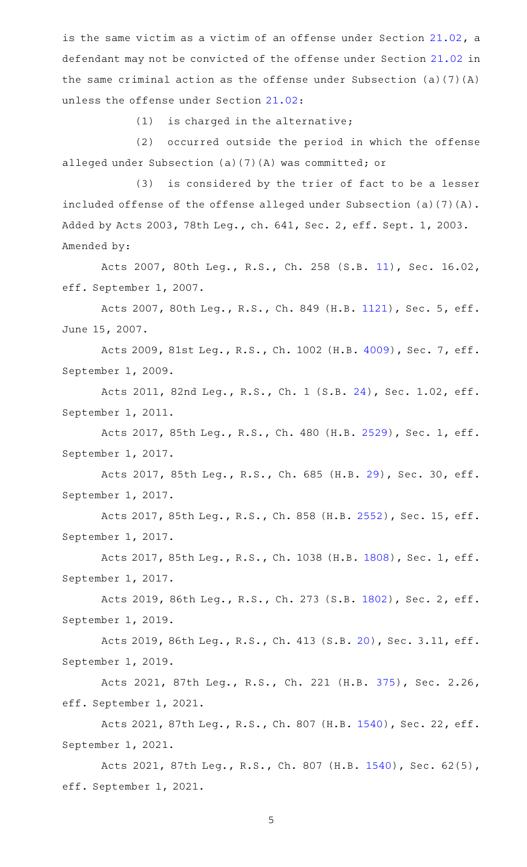is the same victim as a victim of an offense under Section [21.02,](http://www.statutes.legis.state.tx.us/GetStatute.aspx?Code=PE&Value=21.02) a defendant may not be convicted of the offense under Section [21.02](http://www.statutes.legis.state.tx.us/GetStatute.aspx?Code=PE&Value=21.02) in the same criminal action as the offense under Subsection (a)(7)(A) unless the offense under Section [21.02](http://www.statutes.legis.state.tx.us/GetStatute.aspx?Code=PE&Value=21.02):

 $(1)$  is charged in the alternative;

(2) occurred outside the period in which the offense alleged under Subsection (a)(7)(A) was committed; or

(3) is considered by the trier of fact to be a lesser included offense of the offense alleged under Subsection (a)(7)(A). Added by Acts 2003, 78th Leg., ch. 641, Sec. 2, eff. Sept. 1, 2003. Amended by:

Acts 2007, 80th Leg., R.S., Ch. 258 (S.B. [11\)](http://www.legis.state.tx.us/tlodocs/80R/billtext/html/SB00011F.HTM), Sec. 16.02, eff. September 1, 2007.

Acts 2007, 80th Leg., R.S., Ch. 849 (H.B. [1121](http://www.legis.state.tx.us/tlodocs/80R/billtext/html/HB01121F.HTM)), Sec. 5, eff. June 15, 2007.

Acts 2009, 81st Leg., R.S., Ch. 1002 (H.B. [4009](http://www.legis.state.tx.us/tlodocs/81R/billtext/html/HB04009F.HTM)), Sec. 7, eff. September 1, 2009.

Acts 2011, 82nd Leg., R.S., Ch. 1 (S.B. [24\)](http://www.legis.state.tx.us/tlodocs/82R/billtext/html/SB00024F.HTM), Sec. 1.02, eff. September 1, 2011.

Acts 2017, 85th Leg., R.S., Ch. 480 (H.B. [2529](http://www.legis.state.tx.us/tlodocs/85R/billtext/html/HB02529F.HTM)), Sec. 1, eff. September 1, 2017.

Acts 2017, 85th Leg., R.S., Ch. 685 (H.B. [29\)](http://www.legis.state.tx.us/tlodocs/85R/billtext/html/HB00029F.HTM), Sec. 30, eff. September 1, 2017.

Acts 2017, 85th Leg., R.S., Ch. 858 (H.B. [2552\)](http://www.legis.state.tx.us/tlodocs/85R/billtext/html/HB02552F.HTM), Sec. 15, eff. September 1, 2017.

Acts 2017, 85th Leg., R.S., Ch. 1038 (H.B. [1808](http://www.legis.state.tx.us/tlodocs/85R/billtext/html/HB01808F.HTM)), Sec. 1, eff. September 1, 2017.

Acts 2019, 86th Leg., R.S., Ch. 273 (S.B. [1802](http://www.legis.state.tx.us/tlodocs/86R/billtext/html/SB01802F.HTM)), Sec. 2, eff. September 1, 2019.

Acts 2019, 86th Leg., R.S., Ch. 413 (S.B. [20\)](http://www.legis.state.tx.us/tlodocs/86R/billtext/html/SB00020F.HTM), Sec. 3.11, eff. September 1, 2019.

Acts 2021, 87th Leg., R.S., Ch. 221 (H.B. [375](http://www.legis.state.tx.us/tlodocs/87R/billtext/html/HB00375F.HTM)), Sec. 2.26, eff. September 1, 2021.

Acts 2021, 87th Leg., R.S., Ch. 807 (H.B. [1540\)](http://www.legis.state.tx.us/tlodocs/87R/billtext/html/HB01540F.HTM), Sec. 22, eff. September 1, 2021.

Acts 2021, 87th Leg., R.S., Ch. 807 (H.B. [1540\)](http://www.legis.state.tx.us/tlodocs/87R/billtext/html/HB01540F.HTM), Sec. 62(5), eff. September 1, 2021.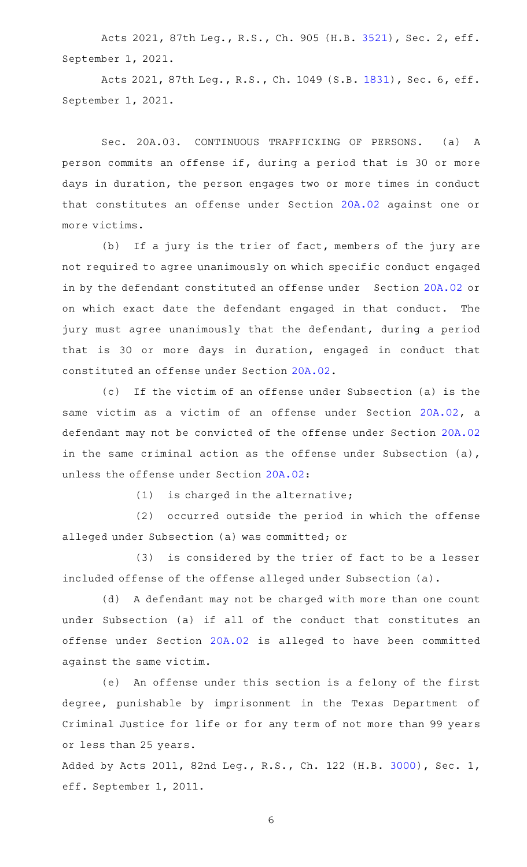Acts 2021, 87th Leg., R.S., Ch. 905 (H.B. [3521](http://www.legis.state.tx.us/tlodocs/87R/billtext/html/HB03521F.HTM)), Sec. 2, eff. September 1, 2021.

Acts 2021, 87th Leg., R.S., Ch. 1049 (S.B. [1831](http://www.legis.state.tx.us/tlodocs/87R/billtext/html/SB01831F.HTM)), Sec. 6, eff. September 1, 2021.

Sec. 20A.03. CONTINUOUS TRAFFICKING OF PERSONS. (a) A person commits an offense if, during a period that is 30 or more days in duration, the person engages two or more times in conduct that constitutes an offense under Section [20A.02](http://www.statutes.legis.state.tx.us/GetStatute.aspx?Code=PE&Value=20A.02) against one or more victims.

(b) If a jury is the trier of fact, members of the jury are not required to agree unanimously on which specific conduct engaged in by the defendant constituted an offense under Section [20A.02](http://www.statutes.legis.state.tx.us/GetStatute.aspx?Code=PE&Value=20A.02) or on which exact date the defendant engaged in that conduct. The jury must agree unanimously that the defendant, during a period that is 30 or more days in duration, engaged in conduct that constituted an offense under Section [20A.02.](http://www.statutes.legis.state.tx.us/GetStatute.aspx?Code=PE&Value=20A.02)

(c) If the victim of an offense under Subsection (a) is the same victim as a victim of an offense under Section [20A.02](http://www.statutes.legis.state.tx.us/GetStatute.aspx?Code=PE&Value=20A.02), a defendant may not be convicted of the offense under Section [20A.02](http://www.statutes.legis.state.tx.us/GetStatute.aspx?Code=PE&Value=20A.02) in the same criminal action as the offense under Subsection (a), unless the offense under Section [20A.02:](http://www.statutes.legis.state.tx.us/GetStatute.aspx?Code=PE&Value=20A.02)

 $(1)$  is charged in the alternative;

(2) occurred outside the period in which the offense alleged under Subsection (a) was committed; or

(3) is considered by the trier of fact to be a lesser included offense of the offense alleged under Subsection (a).

(d) A defendant may not be charged with more than one count under Subsection (a) if all of the conduct that constitutes an offense under Section [20A.02](http://www.statutes.legis.state.tx.us/GetStatute.aspx?Code=PE&Value=20A.02) is alleged to have been committed against the same victim.

(e) An offense under this section is a felony of the first degree, punishable by imprisonment in the Texas Department of Criminal Justice for life or for any term of not more than 99 years or less than 25 years.

Added by Acts 2011, 82nd Leg., R.S., Ch. 122 (H.B. [3000](http://www.legis.state.tx.us/tlodocs/82R/billtext/html/HB03000F.HTM)), Sec. 1, eff. September 1, 2011.